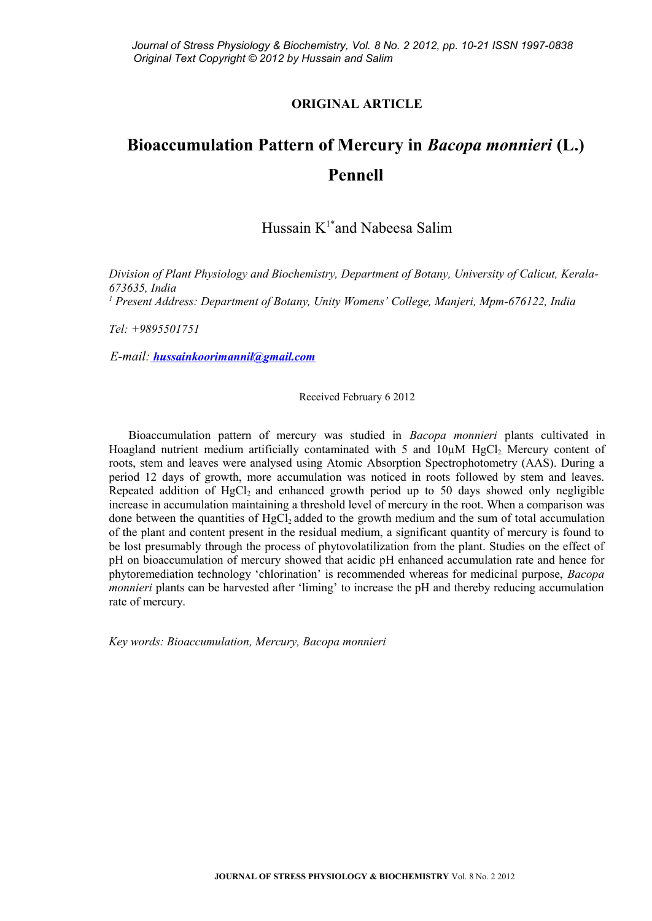## **ORIGINAL ARTICLE**

# **Bioaccumulation Pattern of Mercury in** *Bacopa monnieri* **(L.) Pennell**

Hussain  $K^1$ <sup>\*</sup>and Nabeesa Salim

*Division of Plant Physiology and Biochemistry, Department of Botany, University of Calicut, Kerala-673635, India <sup>1</sup> Present Address: Department of Botany, Unity Womens' College, Manjeri, Mpm-676122, India*

*Tel: +9895501751*

*E-mail: [hussainkoorimannil@gmail.com](mailto:hussainkoorimannil@gmail.com)*

Received February 6 2012

Bioaccumulation pattern of mercury was studied in *Bacopa monnieri* plants cultivated in Hoagland nutrient medium artificially contaminated with 5 and  $10\mu$ M HgCl<sub>2</sub>. Mercury content of roots, stem and leaves were analysed using Atomic Absorption Spectrophotometry (AAS). During a period 12 days of growth, more accumulation was noticed in roots followed by stem and leaves. Repeated addition of  $HgCl<sub>2</sub>$  and enhanced growth period up to 50 days showed only negligible increase in accumulation maintaining a threshold level of mercury in the root. When a comparison was done between the quantities of HgCl<sub>2</sub> added to the growth medium and the sum of total accumulation of the plant and content present in the residual medium, a significant quantity of mercury is found to be lost presumably through the process of phytovolatilization from the plant. Studies on the effect of pH on bioaccumulation of mercury showed that acidic pH enhanced accumulation rate and hence for phytoremediation technology 'chlorination' is recommended whereas for medicinal purpose, *Bacopa monnieri* plants can be harvested after 'liming' to increase the pH and thereby reducing accumulation rate of mercury.

*Key words: Bioaccumulation, Mercury, Bacopa monnieri*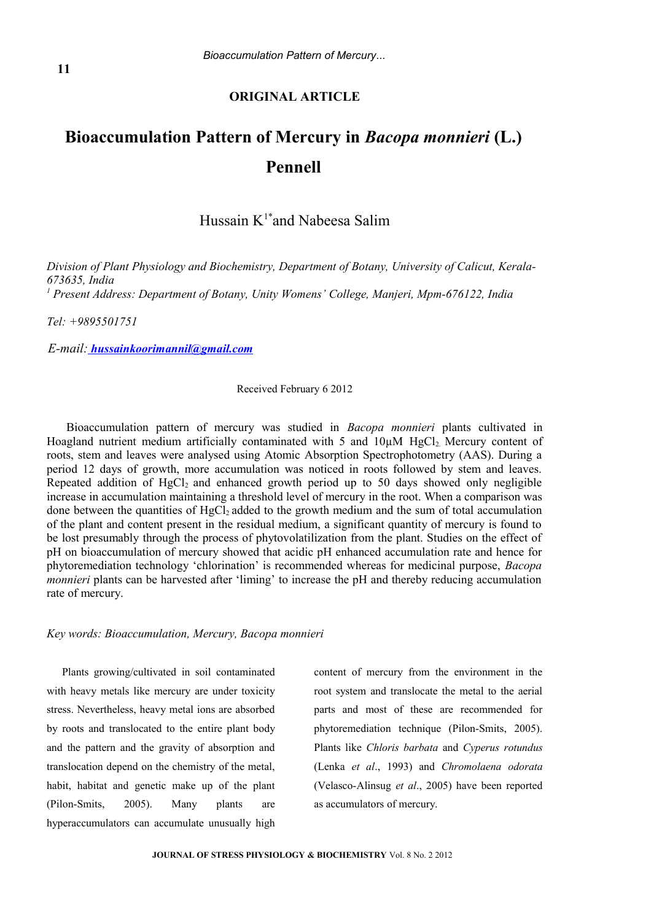### **ORIGINAL ARTICLE**

# **Bioaccumulation Pattern of Mercury in** *Bacopa monnieri* **(L.) Pennell**

Hussain  $K^{1*}$  and Nabeesa Salim

*Division of Plant Physiology and Biochemistry, Department of Botany, University of Calicut, Kerala-673635, India*

*<sup>1</sup> Present Address: Department of Botany, Unity Womens' College, Manjeri, Mpm-676122, India*

*Tel: +9895501751*

*E-mail: [hussainkoorimannil@gmail.com](mailto:hussainkoorimannil@gmail.com)*

Received February 6 2012

Bioaccumulation pattern of mercury was studied in *Bacopa monnieri* plants cultivated in Hoagland nutrient medium artificially contaminated with 5 and 10uM HgCl<sub>2</sub>. Mercury content of roots, stem and leaves were analysed using Atomic Absorption Spectrophotometry (AAS). During a period 12 days of growth, more accumulation was noticed in roots followed by stem and leaves. Repeated addition of  $HgCl<sub>2</sub>$  and enhanced growth period up to 50 days showed only negligible increase in accumulation maintaining a threshold level of mercury in the root. When a comparison was done between the quantities of HgCl<sub>2</sub> added to the growth medium and the sum of total accumulation of the plant and content present in the residual medium, a significant quantity of mercury is found to be lost presumably through the process of phytovolatilization from the plant. Studies on the effect of pH on bioaccumulation of mercury showed that acidic pH enhanced accumulation rate and hence for phytoremediation technology 'chlorination' is recommended whereas for medicinal purpose, *Bacopa monnieri* plants can be harvested after 'liming' to increase the pH and thereby reducing accumulation rate of mercury.

#### *Key words: Bioaccumulation, Mercury, Bacopa monnieri*

Plants growing/cultivated in soil contaminated with heavy metals like mercury are under toxicity stress. Nevertheless, heavy metal ions are absorbed by roots and translocated to the entire plant body and the pattern and the gravity of absorption and translocation depend on the chemistry of the metal, habit, habitat and genetic make up of the plant (Pilon-Smits, 2005). Many plants are hyperaccumulators can accumulate unusually high

content of mercury from the environment in the root system and translocate the metal to the aerial parts and most of these are recommended for phytoremediation technique (Pilon-Smits, 2005). Plants like *Chloris barbata* and *Cyperus rotundus* (Lenka *et al*., 1993) and *Chromolaena odorata* (Velasco-Alinsug *et al*., 2005) have been reported as accumulators of mercury.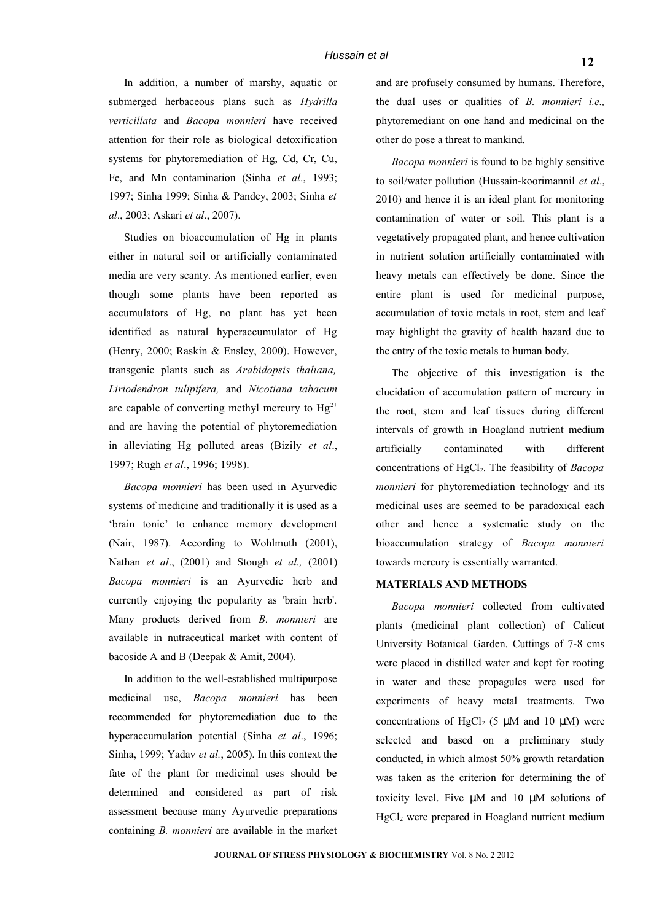In addition, a number of marshy, aquatic or submerged herbaceous plans such as *Hydrilla verticillata* and *Bacopa monnieri* have received attention for their role as biological detoxification systems for phytoremediation of Hg, Cd, Cr, Cu, Fe, and Mn contamination (Sinha *et al*., 1993; 1997; Sinha 1999; Sinha & Pandey, 2003; Sinha *et al*., 2003; Askari *et al*., 2007).

Studies on bioaccumulation of Hg in plants either in natural soil or artificially contaminated media are very scanty. As mentioned earlier, even though some plants have been reported as accumulators of Hg, no plant has yet been identified as natural hyperaccumulator of Hg (Henry, 2000; Raskin & Ensley, 2000). However, transgenic plants such as *Arabidopsis thaliana, Liriodendron tulipifera,* and *Nicotiana tabacum* are capable of converting methyl mercury to  $Hg^{2+}$ and are having the potential of phytoremediation in alleviating Hg polluted areas (Bizily *et al*., 1997; Rugh *et al*., 1996; 1998).

*Bacopa monnieri* has been used in Ayurvedic systems of medicine and traditionally it is used as a 'brain tonic' to enhance memory development (Nair, 1987). According to Wohlmuth (2001), Nathan *et al*., (2001) and Stough *et al.,* (2001) *Bacopa monnieri* is an Ayurvedic herb and currently enjoying the popularity as 'brain herb'. Many products derived from *B. monnieri* are available in nutraceutical market with content of bacoside A and B (Deepak & Amit, 2004).

In addition to the well-established multipurpose medicinal use, *Bacopa monnieri* has been recommended for phytoremediation due to the hyperaccumulation potential (Sinha *et al*., 1996; Sinha, 1999; Yadav *et al.*, 2005). In this context the fate of the plant for medicinal uses should be determined and considered as part of risk assessment because many Ayurvedic preparations containing *B. monnieri* are available in the market and are profusely consumed by humans. Therefore, the dual uses or qualities of *B. monnieri i.e.,* phytoremediant on one hand and medicinal on the other do pose a threat to mankind.

*Bacopa monnieri* is found to be highly sensitive to soil/water pollution (Hussain-koorimannil *et al*., 2010) and hence it is an ideal plant for monitoring contamination of water or soil. This plant is a vegetatively propagated plant, and hence cultivation in nutrient solution artificially contaminated with heavy metals can effectively be done. Since the entire plant is used for medicinal purpose, accumulation of toxic metals in root, stem and leaf may highlight the gravity of health hazard due to the entry of the toxic metals to human body.

The objective of this investigation is the elucidation of accumulation pattern of mercury in the root, stem and leaf tissues during different intervals of growth in Hoagland nutrient medium artificially contaminated with different concentrations of HgCl<sub>2</sub>. The feasibility of *Bacopa monnieri* for phytoremediation technology and its medicinal uses are seemed to be paradoxical each other and hence a systematic study on the bioaccumulation strategy of *Bacopa monnieri* towards mercury is essentially warranted.

#### **MATERIALS AND METHODS**

*Bacopa monnieri* collected from cultivated plants (medicinal plant collection) of Calicut University Botanical Garden. Cuttings of 7-8 cms were placed in distilled water and kept for rooting in water and these propagules were used for experiments of heavy metal treatments. Two concentrations of HgCl<sub>2</sub> (5  $\mu$ M and 10  $\mu$ M) were selected and based on a preliminary study conducted, in which almost 50% growth retardation was taken as the criterion for determining the of toxicity level. Five µM and 10 µM solutions of HgCl2 were prepared in Hoagland nutrient medium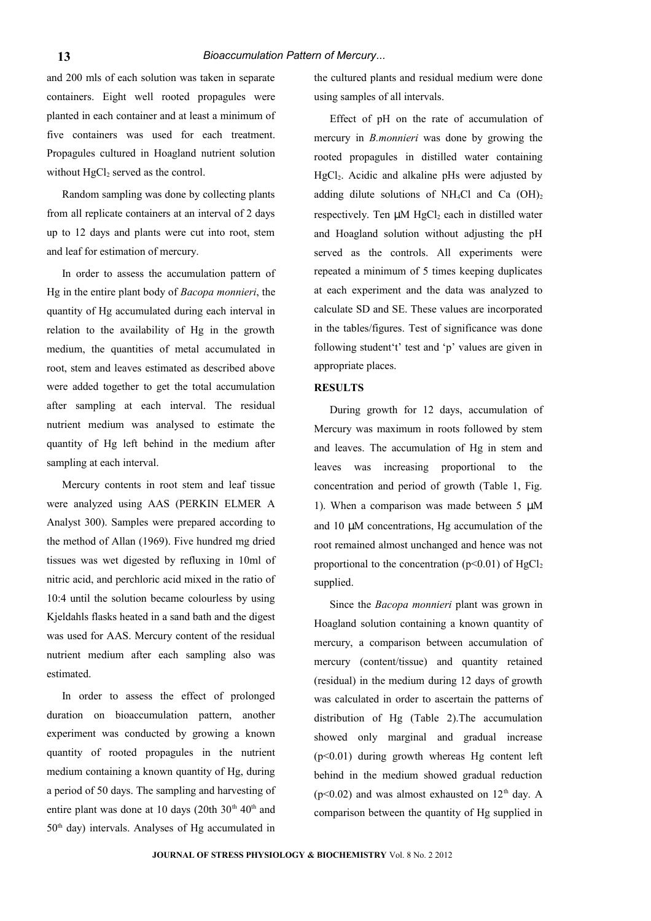#### *Bioaccumulation Pattern of Mercury...*

and 200 mls of each solution was taken in separate containers. Eight well rooted propagules were planted in each container and at least a minimum of five containers was used for each treatment. Propagules cultured in Hoagland nutrient solution without  $HgCl<sub>2</sub>$  served as the control.

Random sampling was done by collecting plants from all replicate containers at an interval of 2 days up to 12 days and plants were cut into root, stem and leaf for estimation of mercury.

In order to assess the accumulation pattern of Hg in the entire plant body of *Bacopa monnieri*, the quantity of Hg accumulated during each interval in relation to the availability of Hg in the growth medium, the quantities of metal accumulated in root, stem and leaves estimated as described above were added together to get the total accumulation after sampling at each interval. The residual nutrient medium was analysed to estimate the quantity of Hg left behind in the medium after sampling at each interval.

Mercury contents in root stem and leaf tissue were analyzed using AAS (PERKIN ELMER A Analyst 300). Samples were prepared according to the method of Allan (1969). Five hundred mg dried tissues was wet digested by refluxing in 10ml of nitric acid, and perchloric acid mixed in the ratio of 10:4 until the solution became colourless by using Kjeldahls flasks heated in a sand bath and the digest was used for AAS. Mercury content of the residual nutrient medium after each sampling also was estimated.

In order to assess the effect of prolonged duration on bioaccumulation pattern, another experiment was conducted by growing a known quantity of rooted propagules in the nutrient medium containing a known quantity of Hg, during a period of 50 days. The sampling and harvesting of entire plant was done at 10 days (20th  $30<sup>th</sup>$  40<sup>th</sup> and  $50<sup>th</sup>$  day) intervals. Analyses of Hg accumulated in

the cultured plants and residual medium were done using samples of all intervals.

Effect of pH on the rate of accumulation of mercury in *B.monnieri* was done by growing the rooted propagules in distilled water containing HgCl<sub>2</sub>. Acidic and alkaline pHs were adjusted by adding dilute solutions of NH<sub>4</sub>Cl and Ca  $(OH)_2$ respectively. Ten  $\mu$ M HgCl<sub>2</sub> each in distilled water and Hoagland solution without adjusting the pH served as the controls. All experiments were repeated a minimum of 5 times keeping duplicates at each experiment and the data was analyzed to calculate SD and SE. These values are incorporated in the tables/figures. Test of significance was done following student't' test and 'p' values are given in appropriate places.

## **RESULTS**

During growth for 12 days, accumulation of Mercury was maximum in roots followed by stem and leaves. The accumulation of Hg in stem and leaves was increasing proportional to the concentration and period of growth (Table 1, Fig. 1). When a comparison was made between  $5 \mu M$ and 10 µM concentrations, Hg accumulation of the root remained almost unchanged and hence was not proportional to the concentration ( $p<0.01$ ) of HgCl<sub>2</sub> supplied.

Since the *Bacopa monnieri* plant was grown in Hoagland solution containing a known quantity of mercury, a comparison between accumulation of mercury (content/tissue) and quantity retained (residual) in the medium during 12 days of growth was calculated in order to ascertain the patterns of distribution of Hg (Table 2).The accumulation showed only marginal and gradual increase  $(p<0.01)$  during growth whereas Hg content left behind in the medium showed gradual reduction ( $p$ <0.02) and was almost exhausted on  $12<sup>th</sup>$  day. A comparison between the quantity of Hg supplied in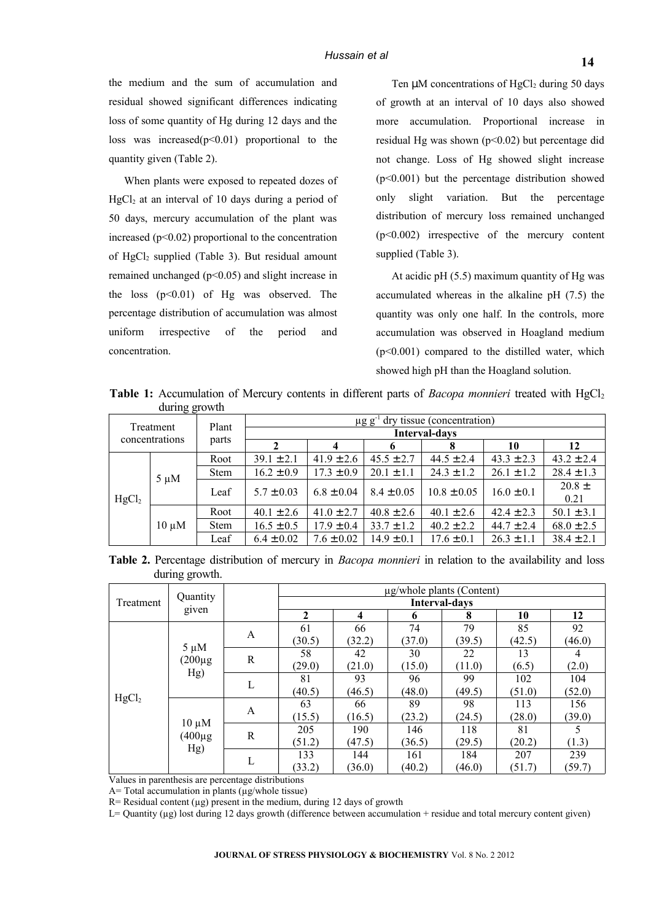the medium and the sum of accumulation and residual showed significant differences indicating loss of some quantity of Hg during 12 days and the loss was increased $(p<0.01)$  proportional to the quantity given (Table 2).

When plants were exposed to repeated dozes of  $HgCl<sub>2</sub>$  at an interval of 10 days during a period of 50 days, mercury accumulation of the plant was increased ( $p<0.02$ ) proportional to the concentration of HgCl<sub>2</sub> supplied (Table 3). But residual amount remained unchanged (p<0.05) and slight increase in the loss  $(p<0.01)$  of Hg was observed. The percentage distribution of accumulation was almost uniform irrespective of the period and concentration.

Ten  $\mu$ M concentrations of HgCl<sub>2</sub> during 50 days of growth at an interval of 10 days also showed more accumulation. Proportional increase in residual Hg was shown ( $p<0.02$ ) but percentage did not change. Loss of Hg showed slight increase (p<0.001) but the percentage distribution showed only slight variation. But the percentage distribution of mercury loss remained unchanged (p<0.002) irrespective of the mercury content supplied (Table 3).

At acidic pH (5.5) maximum quantity of Hg was accumulated whereas in the alkaline pH (7.5) the quantity was only one half. In the controls, more accumulation was observed in Hoagland medium  $(p<0.001)$  compared to the distilled water, which showed high pH than the Hoagland solution.

**Table 1:** Accumulation of Mercury contents in different parts of *Bacopa monnieri* treated with HgCl<sub>2</sub> during growth

| ے ت<br>Treatment<br>concentrations |            | Plant       | $\mu$ g g <sup>-1</sup> dry tissue (concentration) |                |                |                 |                |                    |  |  |  |
|------------------------------------|------------|-------------|----------------------------------------------------|----------------|----------------|-----------------|----------------|--------------------|--|--|--|
|                                    |            | parts       | <b>Interval-days</b>                               |                |                |                 |                |                    |  |  |  |
|                                    |            |             | 2                                                  | 4              | 6              | 8               | 10             | 12                 |  |  |  |
| HgCl <sub>2</sub>                  | $5 \mu M$  | Root        | $39.1 \pm 2.1$                                     | $41.9 \pm 2.6$ | $45.5 \pm 2.7$ | $44.5 \pm 2.4$  | $43.3 \pm 2.3$ | $43.2 \pm 2.4$     |  |  |  |
|                                    |            | <b>Stem</b> | $16.2 \pm 0.9$                                     | $17.3 \pm 0.9$ | $20.1 \pm 1.1$ | $24.3 \pm 1.2$  | $26.1 \pm 1.2$ | $28.4 \pm 1.3$     |  |  |  |
|                                    |            | Leaf        | $5.7 \pm 0.03$                                     | $6.8 \pm 0.04$ | $8.4 \pm 0.05$ | $10.8 \pm 0.05$ | $16.0 \pm 0.1$ | $20.8 \pm$<br>0.21 |  |  |  |
|                                    | $10 \mu M$ | Root        | $40.1 \pm 2.6$                                     | $41.0 \pm 2.7$ | $40.8 \pm 2.6$ | $40.1 \pm 2.6$  | $42.4 \pm 2.3$ | $50.1 \pm 3.1$     |  |  |  |
|                                    |            | <b>Stem</b> | $16.5 \pm 0.5$                                     | $17.9 \pm 0.4$ | $33.7 \pm 1.2$ | $40.2 \pm 2.2$  | $44.7 \pm 2.4$ | $68.0 \pm 2.5$     |  |  |  |
|                                    |            | Leaf        | $6.4 \pm 0.02$                                     | $7.6 \pm 0.02$ | $14.9 \pm 0.1$ | $17.6 \pm 0.1$  | $26.3 \pm 1.1$ | $38.4 \pm 2.1$     |  |  |  |

**Table 2.** Percentage distribution of mercury in *Bacopa monnieri* in relation to the availability and loss during growth.

|                   |                            |              | $\mu$ g/whole plants (Content) |        |        |        |        |        |  |  |  |  |
|-------------------|----------------------------|--------------|--------------------------------|--------|--------|--------|--------|--------|--|--|--|--|
| Treatment         | Quantity                   |              | <b>Interval-days</b>           |        |        |        |        |        |  |  |  |  |
|                   | given                      |              | 2                              | 4      | 6      | 8      | 10     | 12     |  |  |  |  |
|                   |                            |              | 61                             | 66     | 74     | 79     | 85     | 92     |  |  |  |  |
|                   |                            | A            | (30.5)                         | (32.2) | (37.0) | (39.5) | (42.5) | (46.0) |  |  |  |  |
|                   | $5 \mu M$<br>$(200 \mu g)$ | $\mathbb{R}$ | 58                             | 42     | 30     | 22     | 13     | 4      |  |  |  |  |
|                   |                            |              | (29.0)                         | (21.0) | (15.0) | (11.0) | (6.5)  | (2.0)  |  |  |  |  |
|                   | Hg)                        | L            | 81                             | 93     | 96     | 99     | 102    | 104    |  |  |  |  |
|                   |                            |              | (40.5)                         | (46.5) | (48.0) | (49.5) | (51.0) | (52.0) |  |  |  |  |
| HgCl <sub>2</sub> |                            | A            | 63                             | 66     | 89     | 98     | 113    | 156    |  |  |  |  |
|                   |                            |              | (15.5)                         | (16.5) | (23.2) | (24.5) | (28.0) | (39.0) |  |  |  |  |
|                   | $10 \mu M$                 | R            | 205                            | 190    | 146    | 118    | 81     |        |  |  |  |  |
|                   | $(400 \mu g)$              |              | (51.2)                         | (47.5) | (36.5) | (29.5) | (20.2) | (1.3)  |  |  |  |  |
|                   | Hg)                        |              | 133                            | 144    | 161    | 184    | 207    | 239    |  |  |  |  |
|                   |                            | L            | (33.2)                         | (36.0) | (40.2) | (46.0) | (51.7) | (59.7) |  |  |  |  |

Values in parenthesis are percentage distributions

 $A=$  Total accumulation in plants ( $\mu$ g/whole tissue)

 $R=$  Residual content ( $\mu$ g) present in the medium, during 12 days of growth

 $L =$  Quantity ( $\mu$ g) lost during 12 days growth (difference between accumulation + residue and total mercury content given)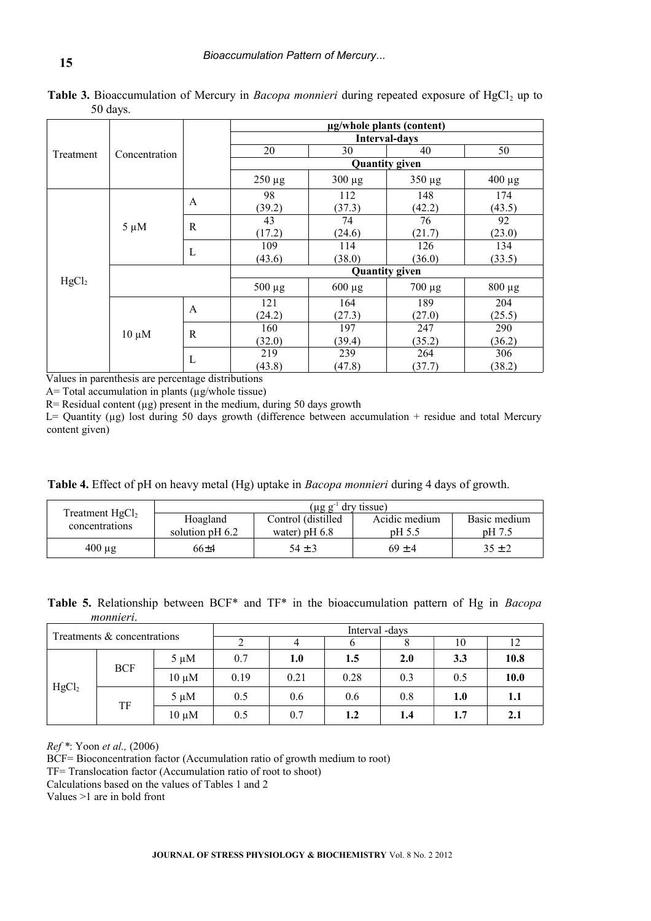|                   |               |                      | µg/whole plants (content) |             |             |             |  |  |  |  |
|-------------------|---------------|----------------------|---------------------------|-------------|-------------|-------------|--|--|--|--|
|                   |               | <b>Interval-days</b> |                           |             |             |             |  |  |  |  |
| Treatment         | Concentration |                      | 20                        | 30          | 40          | 50          |  |  |  |  |
|                   |               |                      | <b>Quantity given</b>     |             |             |             |  |  |  |  |
|                   |               |                      | $250 \mu g$               | $300 \mu g$ | $350 \mu g$ | $400 \mu g$ |  |  |  |  |
|                   |               |                      | 98                        | 112         | 148         | 174         |  |  |  |  |
|                   |               | $\mathbf{A}$         | (39.2)                    | (37.3)      | (42.2)      | (43.5)      |  |  |  |  |
|                   | $5 \mu M$     | $\mathbf R$          | 43                        | 74          | 76          | 92          |  |  |  |  |
|                   |               |                      | (17.2)                    | (24.6)      | (21.7)      | (23.0)      |  |  |  |  |
|                   |               | L                    | 109                       | 114         | 126         | 134         |  |  |  |  |
|                   |               |                      | (43.6)                    | (38.0)      | (36.0)      | (33.5)      |  |  |  |  |
|                   |               |                      | <b>Quantity given</b>     |             |             |             |  |  |  |  |
| HgCl <sub>2</sub> |               |                      | $500 \mu g$               | $600 \mu g$ | $700 \mu g$ | $800 \mu g$ |  |  |  |  |
|                   |               |                      | 121                       | 164         | 189         | 204         |  |  |  |  |
|                   |               | A                    | (24.2)                    | (27.3)      | (27.0)      | (25.5)      |  |  |  |  |
|                   |               | $\mathbf R$          | 160                       | 197         | 247         | 290         |  |  |  |  |
|                   | $10 \mu M$    |                      | (32.0)                    | (39.4)      | (35.2)      | (36.2)      |  |  |  |  |
|                   |               | $\mathbf L$          | 219                       | 239         | 264         | 306         |  |  |  |  |
|                   |               |                      | (43.8)                    | (47.8)      | (37.7)      | (38.2)      |  |  |  |  |

**Table 3.** Bioaccumulation of Mercury in *Bacopa monnieri* during repeated exposure of HgCl<sub>2</sub> up to 50 days.

Values in parenthesis are percentage distributions

 $A=$  Total accumulation in plants ( $\mu$ g/whole tissue)

 $R=$  Residual content ( $\mu$ g) present in the medium, during 50 days growth

L= Quantity ( $\mu$ g) lost during 50 days growth (difference between accumulation + residue and total Mercury content given)

**Table 4.** Effect of pH on heavy metal (Hg) uptake in *Bacopa monnieri* during 4 days of growth.

|                                     | $(\mu g g^{-1})$<br>dry tissue) |                    |               |              |  |  |  |  |  |
|-------------------------------------|---------------------------------|--------------------|---------------|--------------|--|--|--|--|--|
| Treatment $HgCl2$<br>concentrations | Hoagland                        | Control (distilled | Acidic medium | Basic medium |  |  |  |  |  |
|                                     | solution $pH$ 6.2               | water) pH $6.8$    | pH 5.5        | pH 7.5       |  |  |  |  |  |
| $400 \mu$ g                         | 66±4                            | $54 \pm 3$         | $69 \pm 4$    | $35 \pm 2$   |  |  |  |  |  |

**Table 5.** Relationship between BCF\* and TF\* in the bioaccumulation pattern of Hg in *Bacopa monnieri*.

| Treatments & concentrations |            |            | Interval -days |      |         |     |     |             |  |  |  |
|-----------------------------|------------|------------|----------------|------|---------|-----|-----|-------------|--|--|--|
|                             |            |            |                |      |         |     | 10  | 12          |  |  |  |
| HgCl <sub>2</sub>           | <b>BCF</b> | $5 \mu M$  | 0.7            | 1.0  | $1.5\,$ | 2.0 | 3.3 | 10.8        |  |  |  |
|                             |            | $10 \mu M$ | 0.19           | 0.21 | 0.28    | 0.3 | 0.5 | <b>10.0</b> |  |  |  |
|                             |            | $5 \mu M$  | 0.5            | 0.6  | 0.6     | 0.8 | 1.0 | 1.1         |  |  |  |
|                             | TF         | $10 \mu M$ | 0.5            | 0.7  | 1.2     | 1.4 | 1.7 | 2.1         |  |  |  |

*Ref \**: Yoon *et al.,* (2006)

BCF= Bioconcentration factor (Accumulation ratio of growth medium to root)

TF= Translocation factor (Accumulation ratio of root to shoot)

Calculations based on the values of Tables 1 and 2

Values >1 are in bold front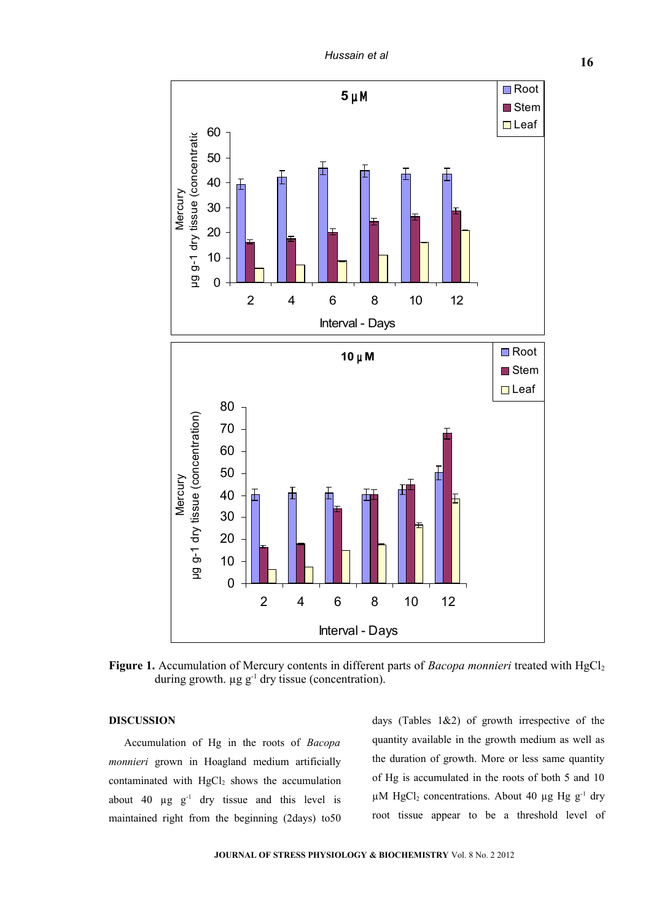

Figure 1. Accumulation of Mercury contents in different parts of *Bacopa monnieri* treated with HgCl<sub>2</sub> during growth.  $\mu$ g g<sup>-1</sup> dry tissue (concentration).

#### **DISCUSSION**

Accumulation of Hg in the roots of *Bacopa monnieri* grown in Hoagland medium artificially contaminated with  $HgCl<sub>2</sub>$  shows the accumulation about 40  $\mu$ g g<sup>-1</sup> dry tissue and this level is maintained right from the beginning (2days) to50

days (Tables 1&2) of growth irrespective of the quantity available in the growth medium as well as the duration of growth. More or less same quantity of Hg is accumulated in the roots of both 5 and 10  $\mu$ M HgCl<sub>2</sub> concentrations. About 40  $\mu$ g Hg g<sup>-1</sup> dry root tissue appear to be a threshold level of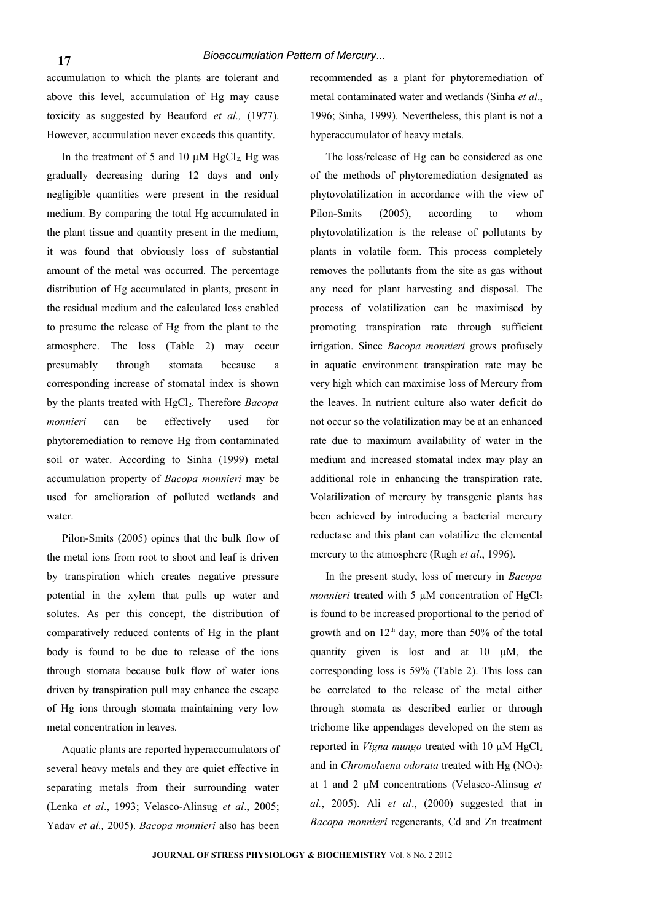accumulation to which the plants are tolerant and above this level, accumulation of Hg may cause toxicity as suggested by Beauford *et al.,* (1977). However, accumulation never exceeds this quantity.

In the treatment of 5 and 10  $\mu$ M HgCl<sub>2</sub>, Hg was gradually decreasing during 12 days and only negligible quantities were present in the residual medium. By comparing the total Hg accumulated in the plant tissue and quantity present in the medium, it was found that obviously loss of substantial amount of the metal was occurred. The percentage distribution of Hg accumulated in plants, present in the residual medium and the calculated loss enabled to presume the release of Hg from the plant to the atmosphere. The loss (Table 2) may occur presumably through stomata because a corresponding increase of stomatal index is shown by the plants treated with HgCl<sub>2</sub>. Therefore *Bacopa monnieri* can be effectively used for phytoremediation to remove Hg from contaminated soil or water. According to Sinha (1999) metal accumulation property of *Bacopa monnieri* may be used for amelioration of polluted wetlands and water.

Pilon-Smits (2005) opines that the bulk flow of the metal ions from root to shoot and leaf is driven by transpiration which creates negative pressure potential in the xylem that pulls up water and solutes. As per this concept, the distribution of comparatively reduced contents of Hg in the plant body is found to be due to release of the ions through stomata because bulk flow of water ions driven by transpiration pull may enhance the escape of Hg ions through stomata maintaining very low metal concentration in leaves.

Aquatic plants are reported hyperaccumulators of several heavy metals and they are quiet effective in separating metals from their surrounding water (Lenka *et al*., 1993; Velasco-Alinsug *et al*., 2005; Yadav *et al.,* 2005). *Bacopa monnieri* also has been

recommended as a plant for phytoremediation of metal contaminated water and wetlands (Sinha *et al*., 1996; Sinha, 1999). Nevertheless, this plant is not a hyperaccumulator of heavy metals.

The loss/release of Hg can be considered as one of the methods of phytoremediation designated as phytovolatilization in accordance with the view of Pilon-Smits (2005), according to whom phytovolatilization is the release of pollutants by plants in volatile form. This process completely removes the pollutants from the site as gas without any need for plant harvesting and disposal. The process of volatilization can be maximised by promoting transpiration rate through sufficient irrigation. Since *Bacopa monnieri* grows profusely in aquatic environment transpiration rate may be very high which can maximise loss of Mercury from the leaves. In nutrient culture also water deficit do not occur so the volatilization may be at an enhanced rate due to maximum availability of water in the medium and increased stomatal index may play an additional role in enhancing the transpiration rate. Volatilization of mercury by transgenic plants has been achieved by introducing a bacterial mercury reductase and this plant can volatilize the elemental mercury to the atmosphere (Rugh *et al*., 1996).

In the present study, loss of mercury in *Bacopa monnieri* treated with 5  $\mu$ M concentration of HgCl<sub>2</sub> is found to be increased proportional to the period of growth and on  $12<sup>th</sup>$  day, more than 50% of the total quantity given is lost and at  $10 \mu M$ , the corresponding loss is 59% (Table 2). This loss can be correlated to the release of the metal either through stomata as described earlier or through trichome like appendages developed on the stem as reported in *Vigna mungo* treated with 10 μM HgCl<sub>2</sub> and in *Chromolaena odorata* treated with Hg (NO<sub>3</sub>)<sub>2</sub> at 1 and 2 µM concentrations (Velasco-Alinsug *et al.*, 2005). Ali *et al*., (2000) suggested that in *Bacopa monnieri* regenerants, Cd and Zn treatment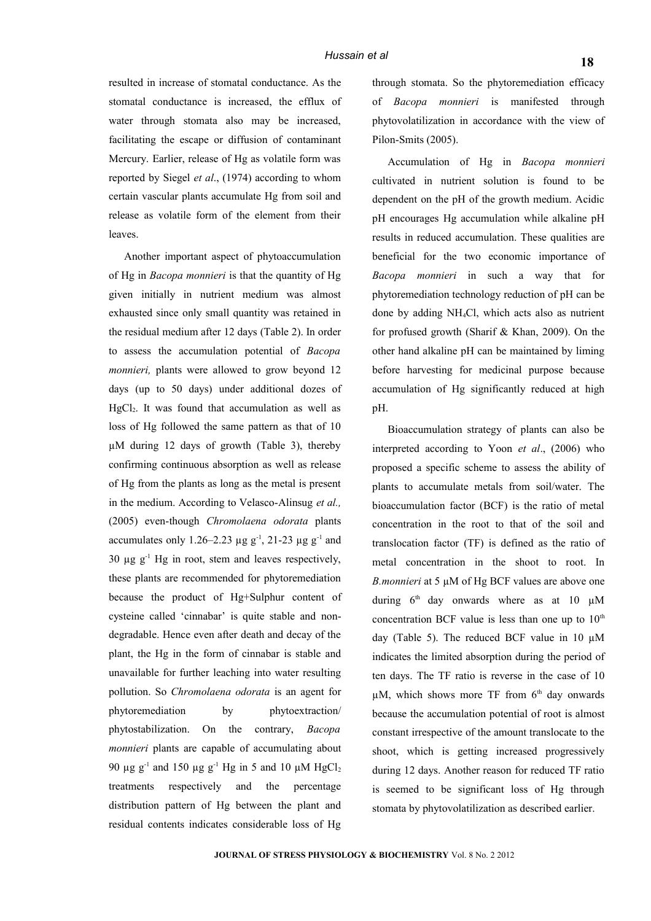resulted in increase of stomatal conductance. As the stomatal conductance is increased, the efflux of water through stomata also may be increased, facilitating the escape or diffusion of contaminant Mercury. Earlier, release of Hg as volatile form was reported by Siegel *et al*., (1974) according to whom certain vascular plants accumulate Hg from soil and release as volatile form of the element from their leaves.

Another important aspect of phytoaccumulation of Hg in *Bacopa monnieri* is that the quantity of Hg given initially in nutrient medium was almost exhausted since only small quantity was retained in the residual medium after 12 days (Table 2). In order to assess the accumulation potential of *Bacopa monnieri,* plants were allowed to grow beyond 12 days (up to 50 days) under additional dozes of  $HgCl<sub>2</sub>$ . It was found that accumulation as well as loss of Hg followed the same pattern as that of 10 µM during 12 days of growth (Table 3), thereby confirming continuous absorption as well as release of Hg from the plants as long as the metal is present in the medium. According to Velasco-Alinsug *et al.,* (2005) even-though *Chromolaena odorata* plants accumulates only 1.26–2.23  $\mu$ g g<sup>-1</sup>, 21-23  $\mu$ g g<sup>-1</sup> and  $30 \text{ µg g}^{-1}$  Hg in root, stem and leaves respectively, these plants are recommended for phytoremediation because the product of Hg+Sulphur content of cysteine called 'cinnabar' is quite stable and nondegradable. Hence even after death and decay of the plant, the Hg in the form of cinnabar is stable and unavailable for further leaching into water resulting pollution. So *Chromolaena odorata* is an agent for phytoremediation by phytoextraction/ phytostabilization. On the contrary, *Bacopa monnieri* plants are capable of accumulating about 90  $\mu$ g g<sup>-1</sup> and 150  $\mu$ g g<sup>-1</sup> Hg in 5 and 10  $\mu$ M HgCl<sub>2</sub> treatments respectively and the percentage distribution pattern of Hg between the plant and residual contents indicates considerable loss of Hg

through stomata. So the phytoremediation efficacy of *Bacopa monnieri* is manifested through phytovolatilization in accordance with the view of Pilon-Smits (2005).

Accumulation of Hg in *Bacopa monnieri* cultivated in nutrient solution is found to be dependent on the pH of the growth medium. Acidic pH encourages Hg accumulation while alkaline pH results in reduced accumulation. These qualities are beneficial for the two economic importance of *Bacopa monnieri* in such a way that for phytoremediation technology reduction of pH can be done by adding NH4Cl, which acts also as nutrient for profused growth (Sharif & Khan, 2009). On the other hand alkaline pH can be maintained by liming before harvesting for medicinal purpose because accumulation of Hg significantly reduced at high pH.

Bioaccumulation strategy of plants can also be interpreted according to Yoon *et al*., (2006) who proposed a specific scheme to assess the ability of plants to accumulate metals from soil/water. The bioaccumulation factor (BCF) is the ratio of metal concentration in the root to that of the soil and translocation factor (TF) is defined as the ratio of metal concentration in the shoot to root. In *B.monnieri* at 5 µM of Hg BCF values are above one during  $6<sup>th</sup>$  day onwards where as at 10  $\mu$ M concentration BCF value is less than one up to  $10<sup>th</sup>$ day (Table 5). The reduced BCF value in 10  $\mu$ M indicates the limited absorption during the period of ten days. The TF ratio is reverse in the case of 10  $\mu$ M, which shows more TF from  $6<sup>th</sup>$  day onwards because the accumulation potential of root is almost constant irrespective of the amount translocate to the shoot, which is getting increased progressively during 12 days. Another reason for reduced TF ratio is seemed to be significant loss of Hg through stomata by phytovolatilization as described earlier.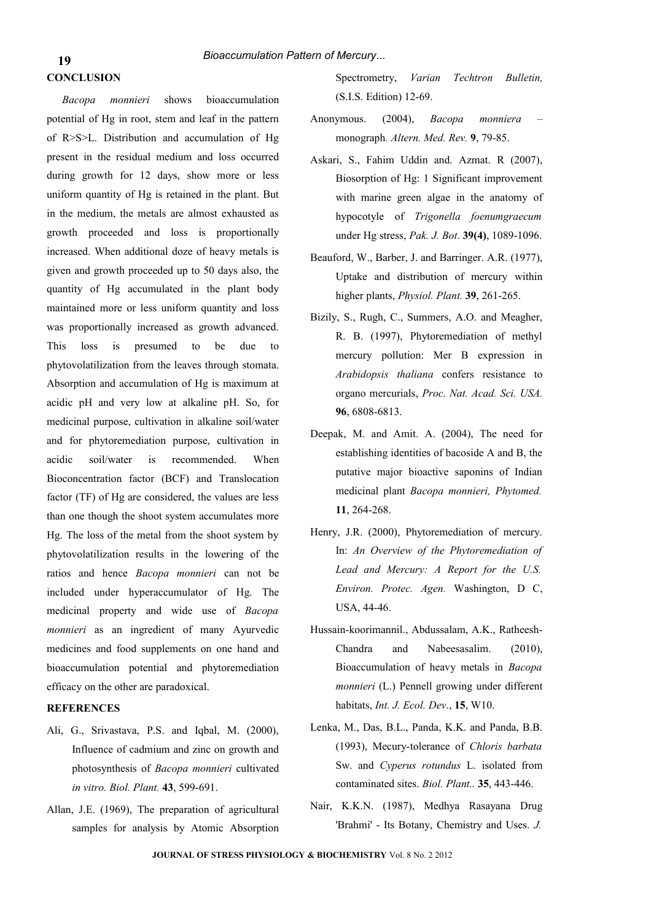## **CONCLUSION 19**

*Bacopa monnieri* shows bioaccumulation potential of Hg in root, stem and leaf in the pattern of R>S>L. Distribution and accumulation of Hg present in the residual medium and loss occurred during growth for 12 days, show more or less uniform quantity of Hg is retained in the plant. But in the medium, the metals are almost exhausted as growth proceeded and loss is proportionally increased. When additional doze of heavy metals is given and growth proceeded up to 50 days also, the quantity of Hg accumulated in the plant body maintained more or less uniform quantity and loss was proportionally increased as growth advanced. This loss is presumed to be due to phytovolatilization from the leaves through stomata. Absorption and accumulation of Hg is maximum at acidic pH and very low at alkaline pH. So, for medicinal purpose, cultivation in alkaline soil/water and for phytoremediation purpose, cultivation in acidic soil/water is recommended. When Bioconcentration factor (BCF) and Translocation factor (TF) of Hg are considered, the values are less than one though the shoot system accumulates more Hg. The loss of the metal from the shoot system by phytovolatilization results in the lowering of the ratios and hence *Bacopa monnieri* can not be included under hyperaccumulator of Hg. The medicinal property and wide use of *Bacopa monnieri* as an ingredient of many Ayurvedic medicines and food supplements on one hand and bioaccumulation potential and phytoremediation efficacy on the other are paradoxical.

#### **REFERENCES**

- Ali, G., Srivastava, P.S. and Iqbal, M. (2000), Influence of cadmium and zinc on growth and photosynthesis of *Bacopa monnieri* cultivated *in vitro. Biol. Plant.* **43**, 599-691.
- Allan, J.E. (1969), The preparation of agricultural samples for analysis by Atomic Absorption

Spectrometry, *Varian Techtron Bulletin,* (S.I.S. Edition) 12-69.

- Anonymous. (2004), *Bacopa monniera* monograph*. Altern. Med. Rev.* **9**, 79-85.
- Askari, S., Fahim Uddin and. Azmat. R (2007), Biosorption of Hg: 1 Significant improvement with marine green algae in the anatomy of hypocotyle of *Trigonella foenumgraecum* under Hg stress, *Pak. J. Bot*. **39(4)**, 1089-1096.
- Beauford, W., Barber, J. and Barringer. A.R. (1977), Uptake and distribution of mercury within higher plants, *Physiol. Plant.* **39**, 261-265.
- Bizily, S., Rugh, C., Summers, A.O. and Meagher, R. B. (1997), Phytoremediation of methyl mercury pollution: Mer B expression in *Arabidopsis thaliana* confers resistance to organo mercurials, *Proc. Nat. Acad. Sci. USA.* **96**, 6808-6813.
- Deepak, M. and Amit. A. (2004), The need for establishing identities of bacoside A and B, the putative major bioactive saponins of Indian medicinal plant *Bacopa monnieri, Phytomed.* **11**, 264-268.
- Henry, J.R. (2000), Phytoremediation of mercury. In: *An Overview of the Phytoremediation of Lead and Mercury: A Report for the U.S. Environ. Protec. Agen.* Washington, D C, USA, 44-46.
- Hussain-koorimannil., Abdussalam, A.K., Ratheesh-Chandra and Nabeesasalim. (2010), Bioaccumulation of heavy metals in *Bacopa monnieri* (L.) Pennell growing under different habitats, *Int. J. Ecol. Dev*., **15**, W10.
- Lenka, M., Das, B.L., Panda, K.K. and Panda, B.B. (1993), Mecury-tolerance of *Chloris barbata* Sw. and *Cyperus rotundus* L. isolated from contaminated sites. *Biol. Plant..* **35**, 443-446.
- Nair, K.K.N. (1987), Medhya Rasayana Drug 'Brahmi' - Its Botany, Chemistry and Uses. *J.*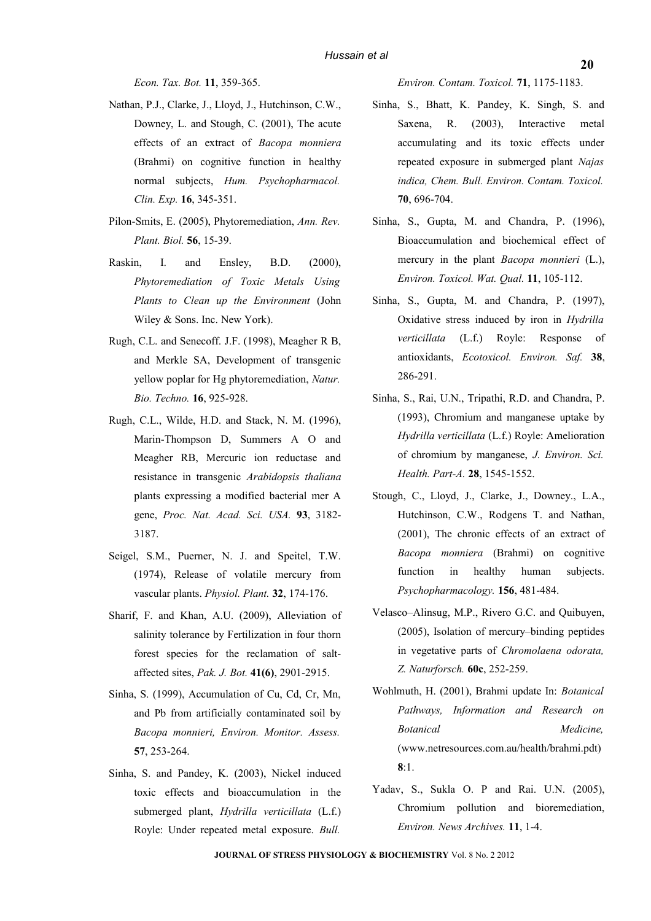*Econ. Tax. Bot.* **11**, 359-365.

- Nathan, P.J., Clarke, J., Lloyd, J., Hutchinson, C.W., Downey, L. and Stough, C. (2001), The acute effects of an extract of *Bacopa monniera* (Brahmi) on cognitive function in healthy normal subjects, *Hum. Psychopharmacol. Clin. Exp.* **16**, 345-351.
- Pilon-Smits, E. (2005), Phytoremediation, *Ann. Rev. Plant. Biol.* **56**, 15-39.
- Raskin, I. and Ensley, B.D. (2000), *Phytoremediation of Toxic Metals Using Plants to Clean up the Environment* (John Wiley & Sons. Inc. New York).
- Rugh, C.L. and Senecoff. J.F. (1998), Meagher R B, and Merkle SA, Development of transgenic yellow poplar for Hg phytoremediation, *Natur. Bio. Techno.* **16**, 925-928.
- Rugh, C.L., Wilde, H.D. and Stack, N. M. (1996), Marin-Thompson D, Summers A O and Meagher RB, Mercuric ion reductase and resistance in transgenic *Arabidopsis thaliana* plants expressing a modified bacterial mer A gene, *Proc. Nat. Acad. Sci. USA.* **93**, 3182- 3187.
- Seigel, S.M., Puerner, N. J. and Speitel, T.W. (1974), Release of volatile mercury from vascular plants. *Physiol. Plant.* **32**, 174-176.
- Sharif, F. and Khan, A.U. (2009), Alleviation of salinity tolerance by Fertilization in four thorn forest species for the reclamation of saltaffected sites, *Pak. J. Bot.* **41(6)**, 2901-2915.
- Sinha, S. (1999), Accumulation of Cu, Cd, Cr, Mn, and Pb from artificially contaminated soil by *Bacopa monnieri, Environ. Monitor. Assess.* **57**, 253-264.
- Sinha, S. and Pandey, K. (2003), Nickel induced toxic effects and bioaccumulation in the submerged plant, *Hydrilla verticillata* (L.f.) Royle: Under repeated metal exposure. *Bull.*

*Environ. Contam. Toxicol.* **71**, 1175-1183.

- Sinha, S., Bhatt, K. Pandey, K. Singh, S. and Saxena, R. (2003), Interactive metal accumulating and its toxic effects under repeated exposure in submerged plant *Najas indica, Chem. Bull. Environ. Contam. Toxicol.* **70**, 696-704.
- Sinha, S., Gupta, M. and Chandra, P. (1996), Bioaccumulation and biochemical effect of mercury in the plant *Bacopa monnieri* (L.), *Environ. Toxicol. Wat. Qual.* **11**, 105-112.
- Sinha, S., Gupta, M. and Chandra, P. (1997), Oxidative stress induced by iron in *Hydrilla verticillata* (L.f.) Royle: Response of antioxidants, *Ecotoxicol. Environ. Saf.* **38**, 286-291.
- Sinha, S., Rai, U.N., Tripathi, R.D. and Chandra, P. (1993), Chromium and manganese uptake by *Hydrilla verticillata* (L.f.) Royle: Amelioration of chromium by manganese, *J. Environ. Sci. Health. Part-A.* **28**, 1545-1552.
- Stough, C., Lloyd, J., Clarke, J., Downey., L.A., Hutchinson, C.W., Rodgens T. and Nathan, (2001), The chronic effects of an extract of *Bacopa monniera* (Brahmi) on cognitive function in healthy human subjects. *Psychopharmacology.* **156**, 481-484.
- Velasco–Alinsug, M.P., Rivero G.C. and Quibuyen, (2005), Isolation of mercury–binding peptides in vegetative parts of *Chromolaena odorata, Z. Naturforsch.* **60c**, 252-259.
- Wohlmuth, H. (2001), Brahmi update In: *Botanical Pathways, Information and Research on Botanical Medicine,* (www.netresources.com.au/health/brahmi.pdt) **8**:1.
- Yadav, S., Sukla O. P and Rai. U.N. (2005), Chromium pollution and bioremediation, *Environ. News Archives.* **11**, 1-4.